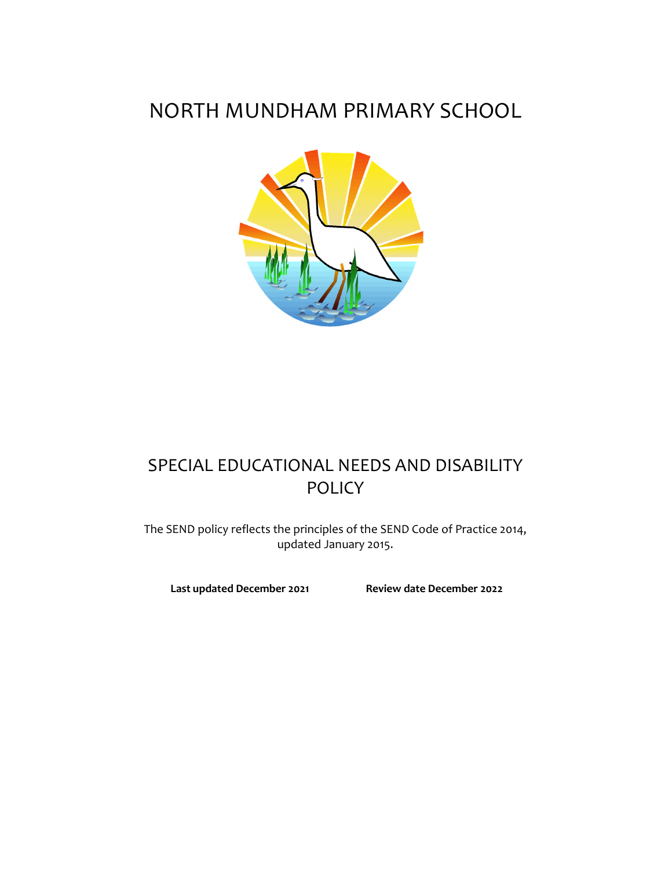# NORTH MUNDHAM PRIMARY SCHOOL



# SPECIAL EDUCATIONAL NEEDS AND DISABILITY POLICY

The SEND policy reflects the principles of the SEND Code of Practice 2014, updated January 2015.

**Last updated December 2021 Review date December 2022**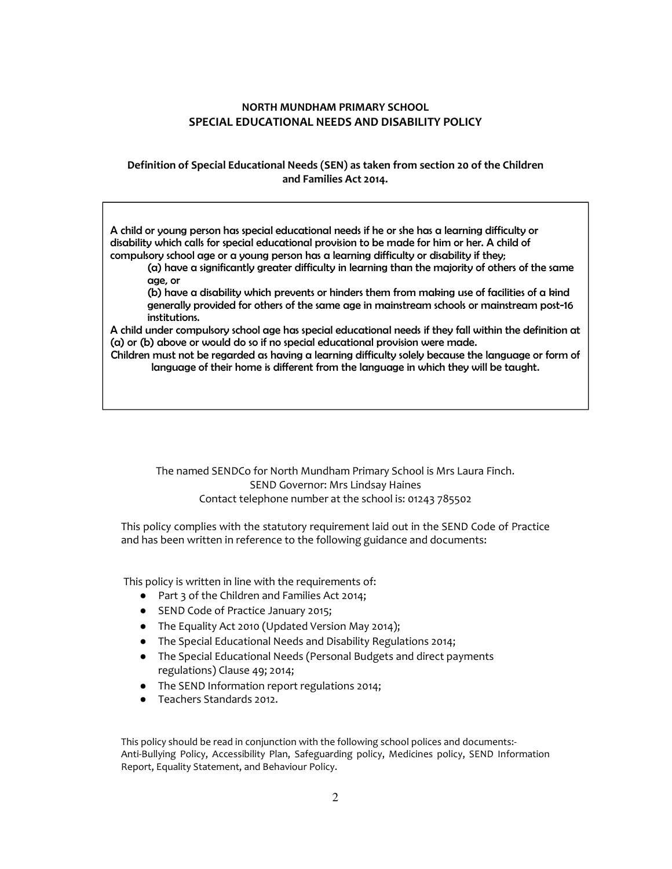# **NORTH MUNDHAM PRIMARY SCHOOL SPECIAL EDUCATIONAL NEEDS AND DISABILITY POLICY**

## **Definition of Special Educational Needs (SEN) as taken from section 20 of the Children and Families Act 2014.**

A child or young person has special educational needs if he or she has a learning difficulty or disability which calls for special educational provision to be made for him or her. A child of compulsory school age or a young person has a learning difficulty or disability if they;

(a) have a significantly greater difficulty in learning than the majority of others of the same age, or

(b) have a disability which prevents or hinders them from making use of facilities of a kind generally provided for others of the same age in mainstream schools or mainstream post-16 institutions.

A child under compulsory school age has special educational needs if they fall within the definition at (a) or (b) above or would do so if no special educational provision were made.

Children must not be regarded as having a learning difficulty solely because the language or form of language of their home is different from the language in which they will be taught.

The named SENDCo for North Mundham Primary School is Mrs Laura Finch. SEND Governor: Mrs Lindsay Haines Contact telephone number at the school is: 01243 785502

This policy complies with the statutory requirement laid out in the SEND Code of Practice and has been written in reference to the following guidance and documents:

This policy is written in line with the requirements of:

- Part 3 of the Children and Families Act 2014;
- SEND Code of Practice January 2015;
- The Equality Act 2010 (Updated Version May 2014);
- The Special Educational Needs and Disability Regulations 2014;
- The Special Educational Needs (Personal Budgets and direct payments regulations) Clause 49; 2014;
- The SEND Information report regulations 2014;
- Teachers Standards 2012.

This policy should be read in conjunction with the following school polices and documents:- Anti-Bullying Policy, Accessibility Plan, Safeguarding policy, Medicines policy, SEND Information Report, Equality Statement, and Behaviour Policy.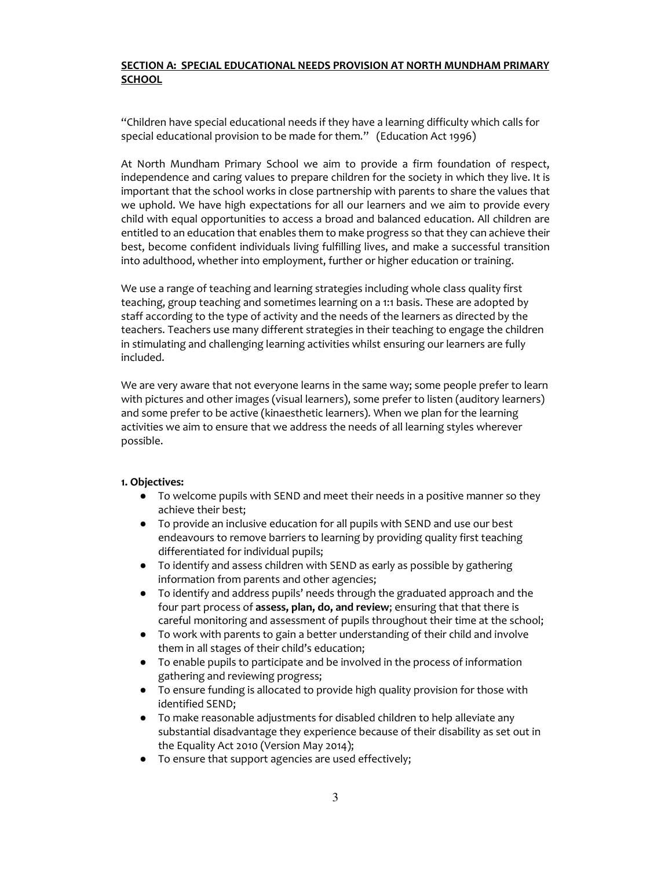## **SECTION A: SPECIAL EDUCATIONAL NEEDS PROVISION AT NORTH MUNDHAM PRIMARY SCHOOL**

"Children have special educational needs if they have a learning difficulty which calls for special educational provision to be made for them." (Education Act 1996)

At North Mundham Primary School we aim to provide a firm foundation of respect, independence and caring values to prepare children for the society in which they live. It is important that the school works in close partnership with parents to share the values that we uphold. We have high expectations for all our learners and we aim to provide every child with equal opportunities to access a broad and balanced education. All children are entitled to an education that enables them to make progress so that they can achieve their best, become confident individuals living fulfilling lives, and make a successful transition into adulthood, whether into employment, further or higher education or training.

We use a range of teaching and learning strategies including whole class quality first teaching, group teaching and sometimes learning on a 1:1 basis. These are adopted by staff according to the type of activity and the needs of the learners as directed by the teachers. Teachers use many different strategies in their teaching to engage the children in stimulating and challenging learning activities whilst ensuring our learners are fully included.

We are very aware that not everyone learns in the same way; some people prefer to learn with pictures and other images (visual learners), some prefer to listen (auditory learners) and some prefer to be active (kinaesthetic learners). When we plan for the learning activities we aim to ensure that we address the needs of all learning styles wherever possible.

#### **1. Objectives:**

- To welcome pupils with SEND and meet their needs in a positive manner so they achieve their best;
- To provide an inclusive education for all pupils with SEND and use our best endeavours to remove barriers to learning by providing quality first teaching differentiated for individual pupils;
- To identify and assess children with SEND as early as possible by gathering information from parents and other agencies;
- To identify and address pupils' needs through the graduated approach and the four part process of **assess, plan, do, and review**; ensuring that that there is careful monitoring and assessment of pupils throughout their time at the school;
- To work with parents to gain a better understanding of their child and involve them in all stages of their child's education;
- To enable pupils to participate and be involved in the process of information gathering and reviewing progress;
- To ensure funding is allocated to provide high quality provision for those with identified SEND;
- To make reasonable adjustments for disabled children to help alleviate any substantial disadvantage they experience because of their disability as set out in the Equality Act 2010 (Version May 2014);
- To ensure that support agencies are used effectively;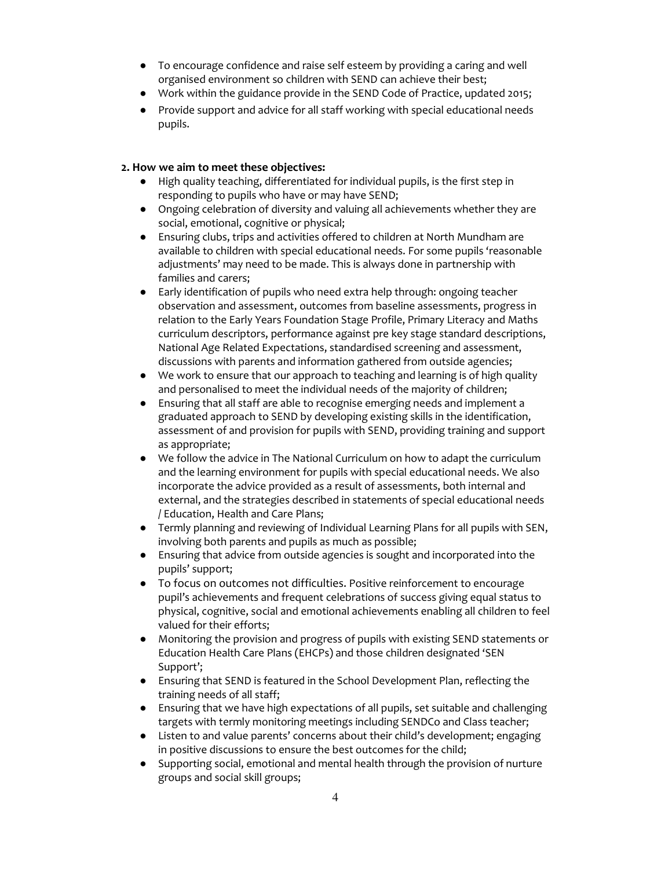- To encourage confidence and raise self esteem by providing a caring and well organised environment so children with SEND can achieve their best;
- Work within the guidance provide in the SEND Code of Practice, updated 2015;
- Provide support and advice for all staff working with special educational needs pupils.

# **2. How we aim to meet these objectives:**

- High quality teaching, differentiated for individual pupils, is the first step in responding to pupils who have or may have SEND;
- Ongoing celebration of diversity and valuing all achievements whether they are social, emotional, cognitive or physical;
- Ensuring clubs, trips and activities offered to children at North Mundham are available to children with special educational needs. For some pupils 'reasonable adjustments' may need to be made. This is always done in partnership with families and carers;
- Early identification of pupils who need extra help through: ongoing teacher observation and assessment, outcomes from baseline assessments, progress in relation to the Early Years Foundation Stage Profile, Primary Literacy and Maths curriculum descriptors, performance against pre key stage standard descriptions, National Age Related Expectations, standardised screening and assessment, discussions with parents and information gathered from outside agencies;
- We work to ensure that our approach to teaching and learning is of high quality and personalised to meet the individual needs of the majority of children;
- Ensuring that all staff are able to recognise emerging needs and implement a graduated approach to SEND by developing existing skills in the identification, assessment of and provision for pupils with SEND, providing training and support as appropriate;
- We follow the advice in The National Curriculum on how to adapt the curriculum and the learning environment for pupils with special educational needs. We also incorporate the advice provided as a result of assessments, both internal and external, and the strategies described in statements of special educational needs / Education, Health and Care Plans;
- Termly planning and reviewing of Individual Learning Plans for all pupils with SEN, involving both parents and pupils as much as possible;
- Ensuring that advice from outside agencies is sought and incorporated into the pupils' support;
- To focus on outcomes not difficulties. Positive reinforcement to encourage pupil's achievements and frequent celebrations of success giving equal status to physical, cognitive, social and emotional achievements enabling all children to feel valued for their efforts;
- Monitoring the provision and progress of pupils with existing SEND statements or Education Health Care Plans (EHCPs) and those children designated 'SEN Support';
- Ensuring that SEND is featured in the School Development Plan, reflecting the training needs of all staff;
- Ensuring that we have high expectations of all pupils, set suitable and challenging targets with termly monitoring meetings including SENDCo and Class teacher;
- Listen to and value parents' concerns about their child's development; engaging in positive discussions to ensure the best outcomes for the child;
- Supporting social, emotional and mental health through the provision of nurture groups and social skill groups;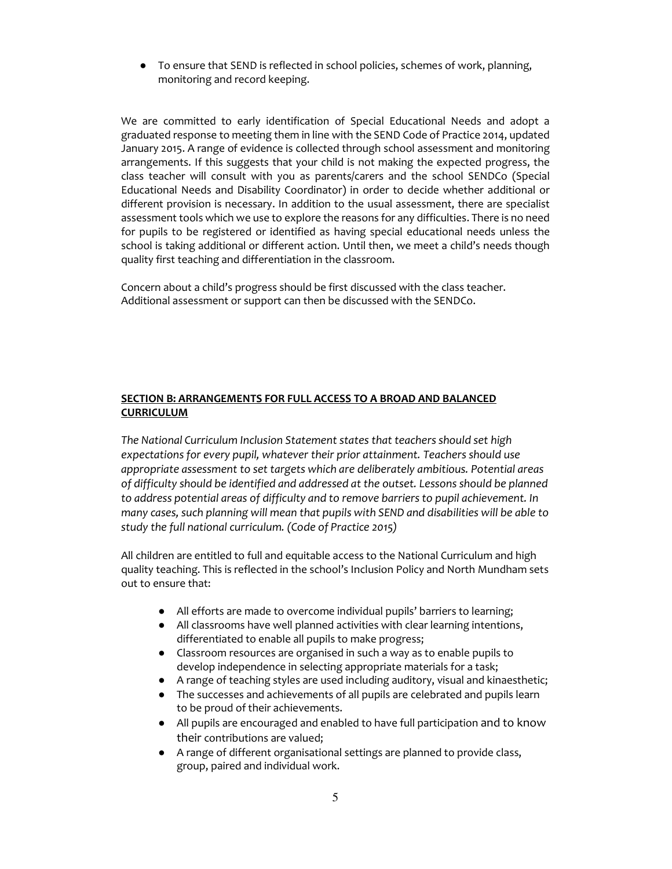● To ensure that SEND is reflected in school policies, schemes of work, planning, monitoring and record keeping.

We are committed to early identification of Special Educational Needs and adopt a graduated response to meeting them in line with the SEND Code of Practice 2014, updated January 2015. A range of evidence is collected through school assessment and monitoring arrangements. If this suggests that your child is not making the expected progress, the class teacher will consult with you as parents/carers and the school SENDCo (Special Educational Needs and Disability Coordinator) in order to decide whether additional or different provision is necessary. In addition to the usual assessment, there are specialist assessment tools which we use to explore the reasons for any difficulties. There is no need for pupils to be registered or identified as having special educational needs unless the school is taking additional or different action. Until then, we meet a child's needs though quality first teaching and differentiation in the classroom.

Concern about a child's progress should be first discussed with the class teacher. Additional assessment or support can then be discussed with the SENDCo.

## **SECTION B: ARRANGEMENTS FOR FULL ACCESS TO A BROAD AND BALANCED CURRICULUM**

*The National Curriculum Inclusion Statement states that teachers should set high expectations for every pupil, whatever their prior attainment. Teachers should use appropriate assessment to set targets which are deliberately ambitious. Potential areas of difficulty should be identified and addressed at the outset. Lessons should be planned to address potential areas of difficulty and to remove barriers to pupil achievement. In many cases, such planning will mean that pupils with SEND and disabilities will be able to study the full national curriculum. (Code of Practice 2015)*

All children are entitled to full and equitable access to the National Curriculum and high quality teaching. This is reflected in the school's Inclusion Policy and North Mundham sets out to ensure that:

- All efforts are made to overcome individual pupils' barriers to learning;
- All classrooms have well planned activities with clear learning intentions, differentiated to enable all pupils to make progress;
- Classroom resources are organised in such a way as to enable pupils to develop independence in selecting appropriate materials for a task;
- A range of teaching styles are used including auditory, visual and kinaesthetic;
- The successes and achievements of all pupils are celebrated and pupils learn to be proud of their achievements.
- All pupils are encouraged and enabled to have full participation and to know their contributions are valued;
- A range of different organisational settings are planned to provide class, group, paired and individual work.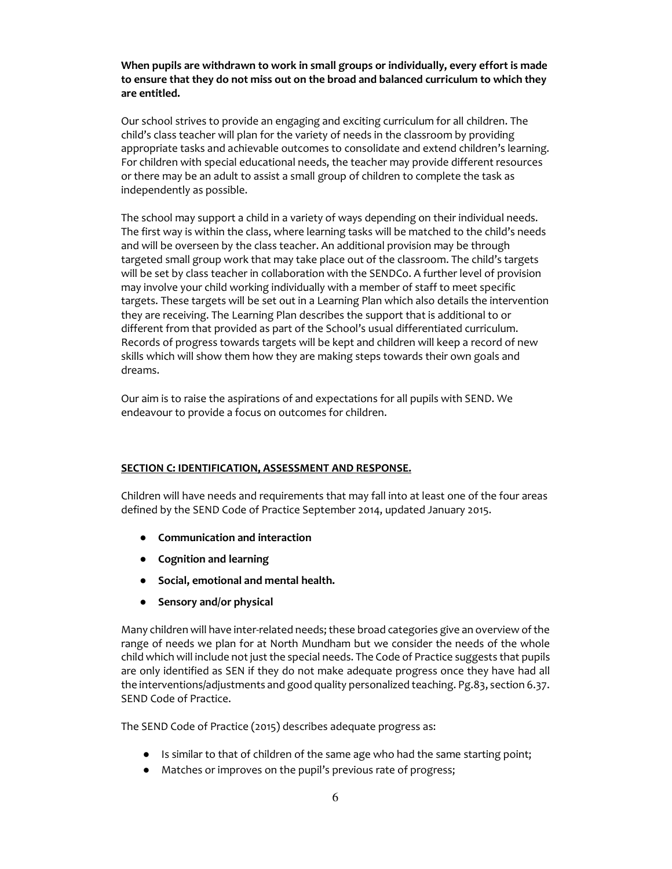**When pupils are withdrawn to work in small groups or individually, every effort is made to ensure that they do not miss out on the broad and balanced curriculum to which they are entitled.**

Our school strives to provide an engaging and exciting curriculum for all children. The child's class teacher will plan for the variety of needs in the classroom by providing appropriate tasks and achievable outcomes to consolidate and extend children's learning. For children with special educational needs, the teacher may provide different resources or there may be an adult to assist a small group of children to complete the task as independently as possible.

The school may support a child in a variety of ways depending on their individual needs. The first way is within the class, where learning tasks will be matched to the child's needs and will be overseen by the class teacher. An additional provision may be through targeted small group work that may take place out of the classroom. The child's targets will be set by class teacher in collaboration with the SENDCo. A further level of provision may involve your child working individually with a member of staff to meet specific targets. These targets will be set out in a Learning Plan which also details the intervention they are receiving. The Learning Plan describes the support that is additional to or different from that provided as part of the School's usual differentiated curriculum. Records of progress towards targets will be kept and children will keep a record of new skills which will show them how they are making steps towards their own goals and dreams.

Our aim is to raise the aspirations of and expectations for all pupils with SEND. We endeavour to provide a focus on outcomes for children.

#### **SECTION C: IDENTIFICATION, ASSESSMENT AND RESPONSE.**

Children will have needs and requirements that may fall into at least one of the four areas defined by the SEND Code of Practice September 2014, updated January 2015.

- **Communication and interaction**
- **Cognition and learning**
- **Social, emotional and mental health.**
- **Sensory and/or physical**

Many children will have inter-related needs; these broad categories give an overview of the range of needs we plan for at North Mundham but we consider the needs of the whole child which will include not just the special needs. The Code of Practice suggests that pupils are only identified as SEN if they do not make adequate progress once they have had all the interventions/adjustments and good quality personalized teaching. Pg.83, section 6.37. SEND Code of Practice.

The SEND Code of Practice (2015) describes adequate progress as:

- Is similar to that of children of the same age who had the same starting point;
- Matches or improves on the pupil's previous rate of progress;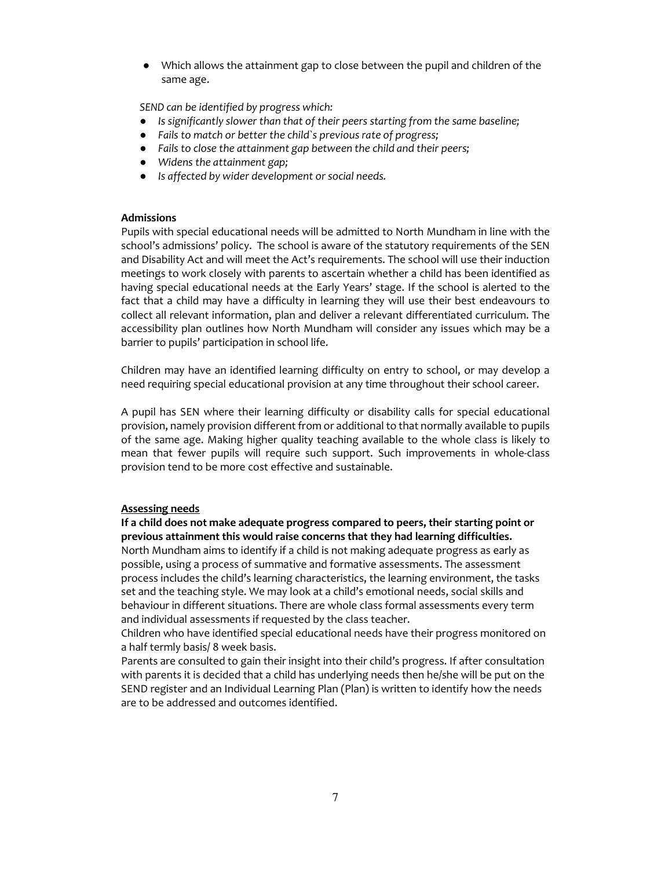● Which allows the attainment gap to close between the pupil and children of the same age.

*SEND can be identified by progress which:*

- *Is significantly slower than that of their peers starting from the same baseline;*
- *Fails to match or better the child`s previous rate of progress;*
- *Fails to close the attainment gap between the child and their peers;*
- *Widens the attainment gap;*
- *Is affected by wider development or social needs.*

#### **Admissions**

Pupils with special educational needs will be admitted to North Mundham in line with the school's admissions' policy. The school is aware of the statutory requirements of the SEN and Disability Act and will meet the Act's requirements. The school will use their induction meetings to work closely with parents to ascertain whether a child has been identified as having special educational needs at the Early Years' stage. If the school is alerted to the fact that a child may have a difficulty in learning they will use their best endeavours to collect all relevant information, plan and deliver a relevant differentiated curriculum. The accessibility plan outlines how North Mundham will consider any issues which may be a barrier to pupils' participation in school life.

Children may have an identified learning difficulty on entry to school, or may develop a need requiring special educational provision at any time throughout their school career.

A pupil has SEN where their learning difficulty or disability calls for special educational provision, namely provision different from or additional to that normally available to pupils of the same age. Making higher quality teaching available to the whole class is likely to mean that fewer pupils will require such support. Such improvements in whole-class provision tend to be more cost effective and sustainable.

#### **Assessing needs**

**If a child does not make adequate progress compared to peers, their starting point or previous attainment this would raise concerns that they had learning difficulties.** 

North Mundham aims to identify if a child is not making adequate progress as early as possible, using a process of summative and formative assessments. The assessment process includes the child's learning characteristics, the learning environment, the tasks set and the teaching style. We may look at a child's emotional needs, social skills and behaviour in different situations. There are whole class formal assessments every term and individual assessments if requested by the class teacher.

Children who have identified special educational needs have their progress monitored on a half termly basis/ 8 week basis.

Parents are consulted to gain their insight into their child's progress. If after consultation with parents it is decided that a child has underlying needs then he/she will be put on the SEND register and an Individual Learning Plan (Plan) is written to identify how the needs are to be addressed and outcomes identified.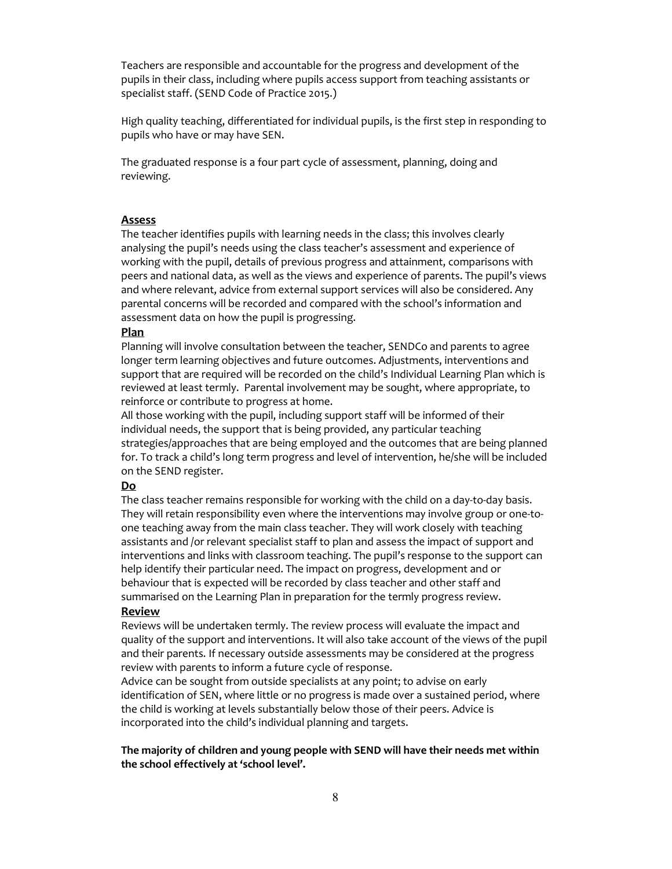Teachers are responsible and accountable for the progress and development of the pupils in their class, including where pupils access support from teaching assistants or specialist staff. (SEND Code of Practice 2015.)

High quality teaching, differentiated for individual pupils, is the first step in responding to pupils who have or may have SEN.

The graduated response is a four part cycle of assessment, planning, doing and reviewing.

#### **Assess**

The teacher identifies pupils with learning needs in the class; this involves clearly analysing the pupil's needs using the class teacher's assessment and experience of working with the pupil, details of previous progress and attainment, comparisons with peers and national data, as well as the views and experience of parents. The pupil's views and where relevant, advice from external support services will also be considered. Any parental concerns will be recorded and compared with the school's information and assessment data on how the pupil is progressing.

#### **Plan**

Planning will involve consultation between the teacher, SENDCo and parents to agree longer term learning objectives and future outcomes. Adjustments, interventions and support that are required will be recorded on the child's Individual Learning Plan which is reviewed at least termly. Parental involvement may be sought, where appropriate, to reinforce or contribute to progress at home.

All those working with the pupil, including support staff will be informed of their individual needs, the support that is being provided, any particular teaching strategies/approaches that are being employed and the outcomes that are being planned for. To track a child's long term progress and level of intervention, he/she will be included on the SEND register.

#### **Do**

The class teacher remains responsible for working with the child on a day-to-day basis. They will retain responsibility even where the interventions may involve group or one-toone teaching away from the main class teacher. They will work closely with teaching assistants and /or relevant specialist staff to plan and assess the impact of support and interventions and links with classroom teaching. The pupil's response to the support can help identify their particular need. The impact on progress, development and or behaviour that is expected will be recorded by class teacher and other staff and summarised on the Learning Plan in preparation for the termly progress review. **Review** 

Reviews will be undertaken termly. The review process will evaluate the impact and quality of the support and interventions. It will also take account of the views of the pupil and their parents. If necessary outside assessments may be considered at the progress review with parents to inform a future cycle of response.

Advice can be sought from outside specialists at any point; to advise on early identification of SEN, where little or no progress is made over a sustained period, where the child is working at levels substantially below those of their peers. Advice is incorporated into the child's individual planning and targets.

#### **The majority of children and young people with SEND will have their needs met within the school effectively at 'school level'.**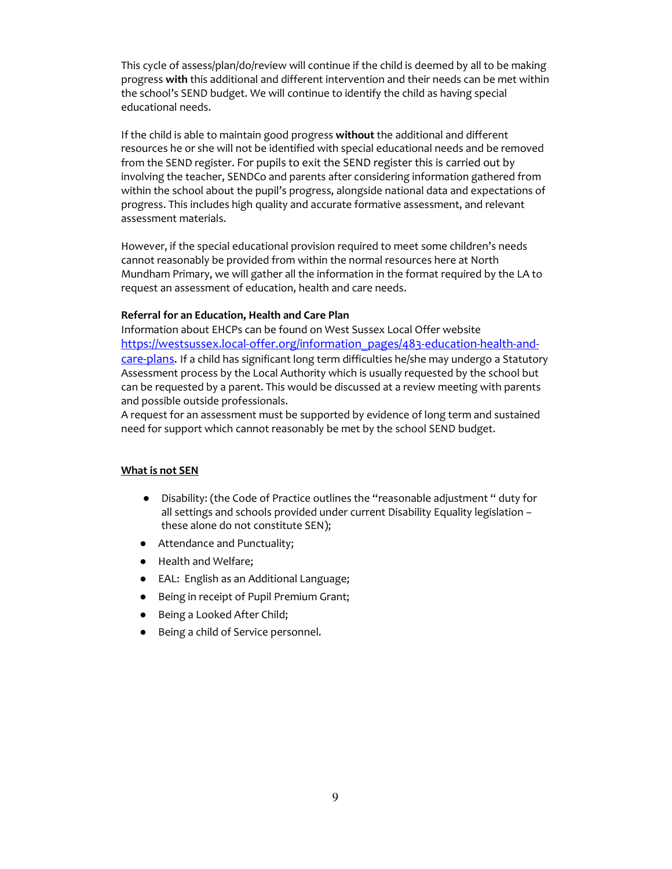This cycle of assess/plan/do/review will continue if the child is deemed by all to be making progress **with** this additional and different intervention and their needs can be met within the school's SEND budget. We will continue to identify the child as having special educational needs.

If the child is able to maintain good progress **without** the additional and different resources he or she will not be identified with special educational needs and be removed from the SEND register. For pupils to exit the SEND register this is carried out by involving the teacher, SENDCo and parents after considering information gathered from within the school about the pupil's progress, alongside national data and expectations of progress. This includes high quality and accurate formative assessment, and relevant assessment materials.

However, if the special educational provision required to meet some children's needs cannot reasonably be provided from within the normal resources here at North Mundham Primary, we will gather all the information in the format required by the LA to request an assessment of education, health and care needs.

#### **Referral for an Education, Health and Care Plan**

Information about EHCPs can be found on West Sussex Local Offer website https://westsussex.local-offer.org/information\_pages/483-education-health-andcare-plans. If a child has significant long term difficulties he/she may undergo a Statutory Assessment process by the Local Authority which is usually requested by the school but can be requested by a parent. This would be discussed at a review meeting with parents and possible outside professionals.

A request for an assessment must be supported by evidence of long term and sustained need for support which cannot reasonably be met by the school SEND budget.

#### **What is not SEN**

- Disability: (the Code of Practice outlines the "reasonable adjustment " duty for all settings and schools provided under current Disability Equality legislation – these alone do not constitute SEN);
- Attendance and Punctuality;
- Health and Welfare;
- EAL: English as an Additional Language;
- Being in receipt of Pupil Premium Grant;
- Being a Looked After Child;
- Being a child of Service personnel.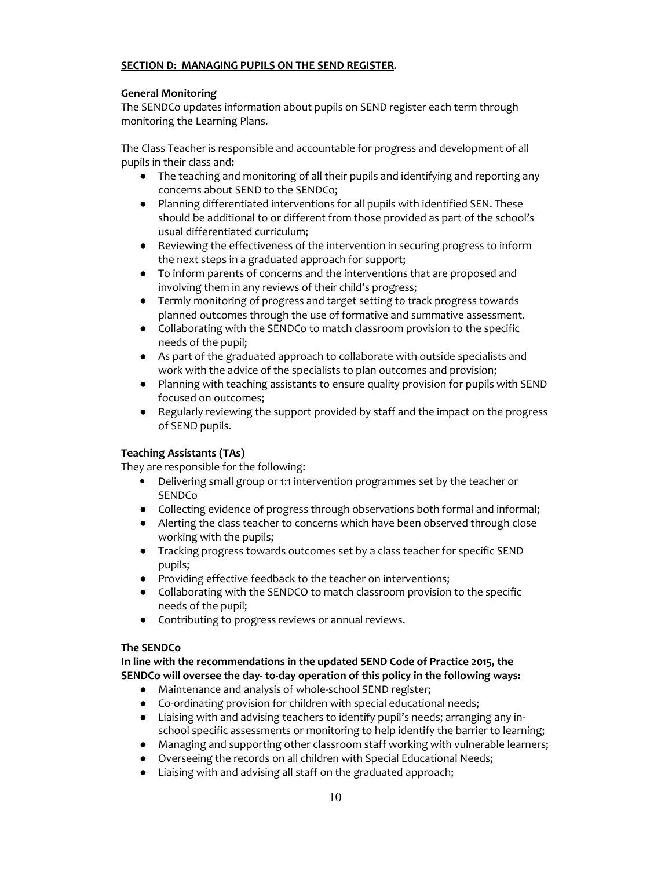## **SECTION D: MANAGING PUPILS ON THE SEND REGISTER.**

# **General Monitoring**

The SENDCo updates information about pupils on SEND register each term through monitoring the Learning Plans.

The Class Teacher is responsible and accountable for progress and development of all pupils in their class and**:** 

- The teaching and monitoring of all their pupils and identifying and reporting any concerns about SEND to the SENDCo;
- Planning differentiated interventions for all pupils with identified SEN. These should be additional to or different from those provided as part of the school's usual differentiated curriculum;
- Reviewing the effectiveness of the intervention in securing progress to inform the next steps in a graduated approach for support;
- To inform parents of concerns and the interventions that are proposed and involving them in any reviews of their child's progress;
- Termly monitoring of progress and target setting to track progress towards planned outcomes through the use of formative and summative assessment.
- Collaborating with the SENDCo to match classroom provision to the specific needs of the pupil;
- As part of the graduated approach to collaborate with outside specialists and work with the advice of the specialists to plan outcomes and provision;
- Planning with teaching assistants to ensure quality provision for pupils with SEND focused on outcomes;
- Regularly reviewing the support provided by staff and the impact on the progress of SEND pupils.

# **Teaching Assistants (TAs)**

They are responsible for the following:

- Delivering small group or 1:1 intervention programmes set by the teacher or SENDCo
- Collecting evidence of progress through observations both formal and informal;
- Alerting the class teacher to concerns which have been observed through close working with the pupils;
- Tracking progress towards outcomes set by a class teacher for specific SEND pupils;
- Providing effective feedback to the teacher on interventions;
- Collaborating with the SENDCO to match classroom provision to the specific needs of the pupil;
- Contributing to progress reviews or annual reviews.

#### **The SENDCo**

**In line with the recommendations in the updated SEND Code of Practice 2015, the SENDCo will oversee the day- to-day operation of this policy in the following ways:** 

- Maintenance and analysis of whole-school SEND register;
- Co-ordinating provision for children with special educational needs;
- Liaising with and advising teachers to identify pupil's needs; arranging any inschool specific assessments or monitoring to help identify the barrier to learning;
- Managing and supporting other classroom staff working with vulnerable learners;
- Overseeing the records on all children with Special Educational Needs;
- Liaising with and advising all staff on the graduated approach;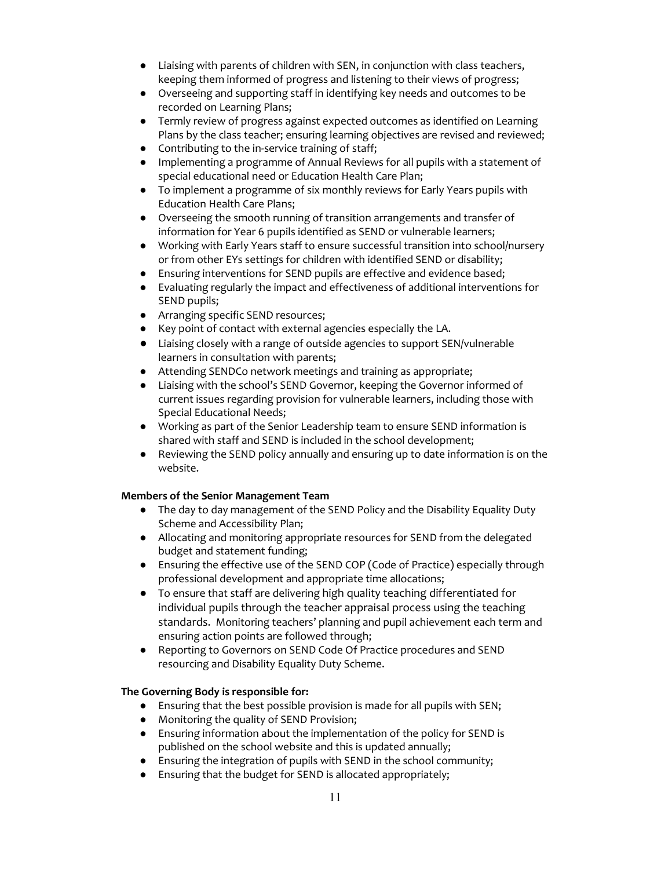- Liaising with parents of children with SEN, in conjunction with class teachers, keeping them informed of progress and listening to their views of progress;
- Overseeing and supporting staff in identifying key needs and outcomes to be recorded on Learning Plans;
- Termly review of progress against expected outcomes as identified on Learning Plans by the class teacher; ensuring learning objectives are revised and reviewed;
- Contributing to the in-service training of staff;
- Implementing a programme of Annual Reviews for all pupils with a statement of special educational need or Education Health Care Plan;
- To implement a programme of six monthly reviews for Early Years pupils with Education Health Care Plans;
- Overseeing the smooth running of transition arrangements and transfer of information for Year 6 pupils identified as SEND or vulnerable learners;
- Working with Early Years staff to ensure successful transition into school/nursery or from other EYs settings for children with identified SEND or disability;
- Ensuring interventions for SEND pupils are effective and evidence based;
- Evaluating regularly the impact and effectiveness of additional interventions for SEND pupils;
- Arranging specific SEND resources;
- Key point of contact with external agencies especially the LA.
- Liaising closely with a range of outside agencies to support SEN/vulnerable learners in consultation with parents;
- Attending SENDCo network meetings and training as appropriate;
- Liaising with the school's SEND Governor, keeping the Governor informed of current issues regarding provision for vulnerable learners, including those with Special Educational Needs;
- Working as part of the Senior Leadership team to ensure SEND information is shared with staff and SEND is included in the school development;
- Reviewing the SEND policy annually and ensuring up to date information is on the website.

# **Members of the Senior Management Team**

- The day to day management of the SEND Policy and the Disability Equality Duty Scheme and Accessibility Plan;
- Allocating and monitoring appropriate resources for SEND from the delegated budget and statement funding;
- Ensuring the effective use of the SEND COP (Code of Practice) especially through professional development and appropriate time allocations;
- To ensure that staff are delivering high quality teaching differentiated for individual pupils through the teacher appraisal process using the teaching standards. Monitoring teachers' planning and pupil achievement each term and ensuring action points are followed through;
- Reporting to Governors on SEND Code Of Practice procedures and SEND resourcing and Disability Equality Duty Scheme.

# **The Governing Body is responsible for:**

- Ensuring that the best possible provision is made for all pupils with SEN;
- Monitoring the quality of SEND Provision;
- Ensuring information about the implementation of the policy for SEND is published on the school website and this is updated annually;
- Ensuring the integration of pupils with SEND in the school community;
- Ensuring that the budget for SEND is allocated appropriately;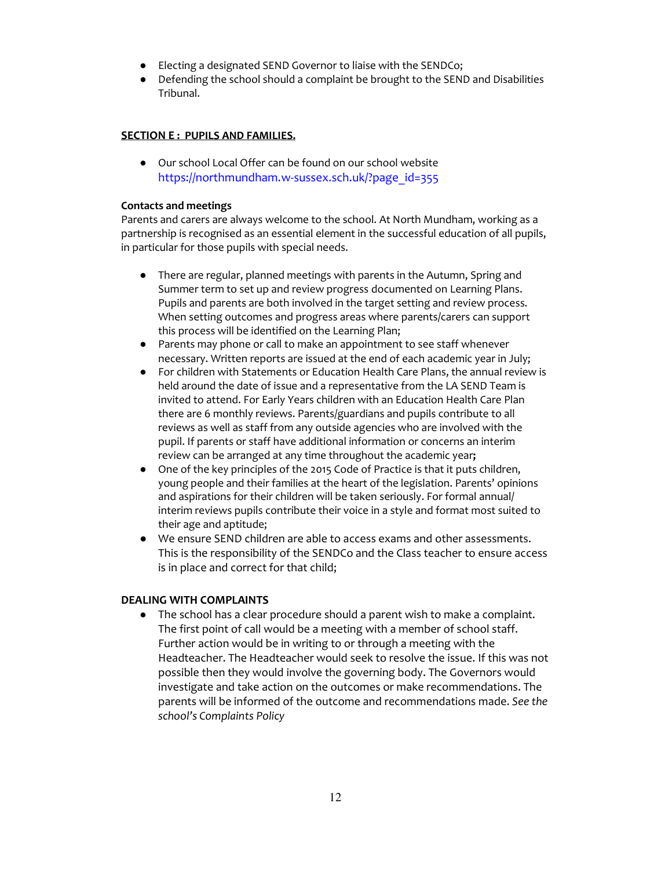- Electing a designated SEND Governor to liaise with the SENDCo;
- Defending the school should a complaint be brought to the SEND and Disabilities Tribunal.

# **SECTION E : PUPILS AND FAMILIES.**

● Our school Local Offer can be found on our school website https://northmundham.w-sussex.sch.uk/?page\_id=355

#### **Contacts and meetings**

Parents and carers are always welcome to the school. At North Mundham, working as a partnership is recognised as an essential element in the successful education of all pupils, in particular for those pupils with special needs.

- There are regular, planned meetings with parents in the Autumn, Spring and Summer term to set up and review progress documented on Learning Plans. Pupils and parents are both involved in the target setting and review process. When setting outcomes and progress areas where parents/carers can support this process will be identified on the Learning Plan;
- Parents may phone or call to make an appointment to see staff whenever necessary. Written reports are issued at the end of each academic year in July;
- For children with Statements or Education Health Care Plans, the annual review is held around the date of issue and a representative from the LA SEND Team is invited to attend. For Early Years children with an Education Health Care Plan there are 6 monthly reviews. Parents/guardians and pupils contribute to all reviews as well as staff from any outside agencies who are involved with the pupil. If parents or staff have additional information or concerns an interim review can be arranged at any time throughout the academic year**;**
- One of the key principles of the 2015 Code of Practice is that it puts children, young people and their families at the heart of the legislation. Parents' opinions and aspirations for their children will be taken seriously. For formal annual/ interim reviews pupils contribute their voice in a style and format most suited to their age and aptitude;
- We ensure SEND children are able to access exams and other assessments. This is the responsibility of the SENDCo and the Class teacher to ensure access is in place and correct for that child;

#### **DEALING WITH COMPLAINTS**

● The school has a clear procedure should a parent wish to make a complaint. The first point of call would be a meeting with a member of school staff. Further action would be in writing to or through a meeting with the Headteacher. The Headteacher would seek to resolve the issue. If this was not possible then they would involve the governing body. The Governors would investigate and take action on the outcomes or make recommendations. The parents will be informed of the outcome and recommendations made. *See the school's Complaints Policy*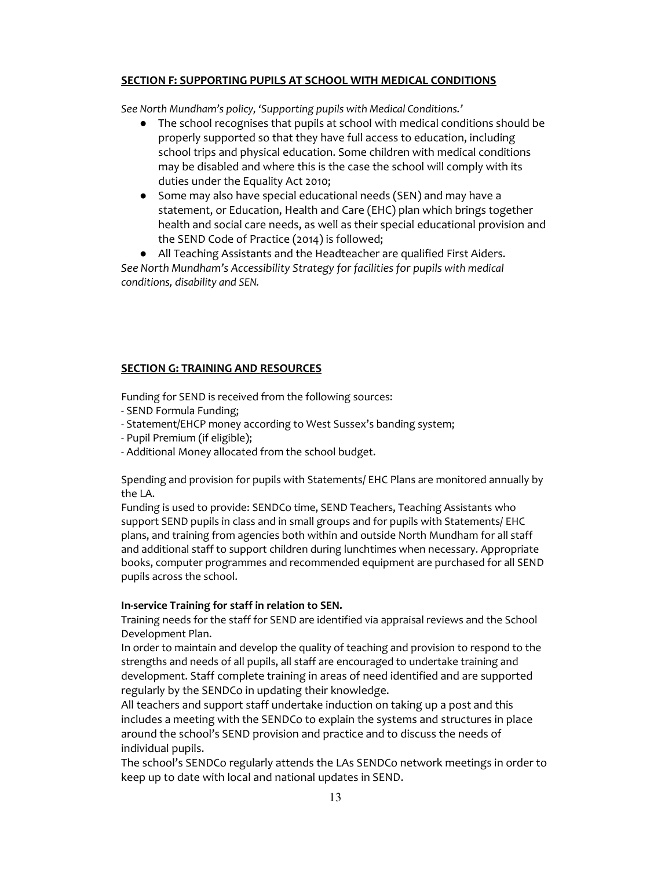# **SECTION F: SUPPORTING PUPILS AT SCHOOL WITH MEDICAL CONDITIONS**

*See North Mundham's policy, 'Supporting pupils with Medical Conditions.'*

- The school recognises that pupils at school with medical conditions should be properly supported so that they have full access to education, including school trips and physical education. Some children with medical conditions may be disabled and where this is the case the school will comply with its duties under the Equality Act 2010;
- Some may also have special educational needs (SEN) and may have a statement, or Education, Health and Care (EHC) plan which brings together health and social care needs, as well as their special educational provision and the SEND Code of Practice (2014) is followed;

All Teaching Assistants and the Headteacher are qualified First Aiders.

*See North Mundham's Accessibility Strategy for facilities for pupils with medical conditions, disability and SEN.*

# **SECTION G: TRAINING AND RESOURCES**

Funding for SEND is received from the following sources:

- SEND Formula Funding;
- Statement/EHCP money according to West Sussex's banding system;
- Pupil Premium (if eligible);
- Additional Money allocated from the school budget.

Spending and provision for pupils with Statements/ EHC Plans are monitored annually by the LA.

Funding is used to provide: SENDCo time, SEND Teachers, Teaching Assistants who support SEND pupils in class and in small groups and for pupils with Statements/ EHC plans, and training from agencies both within and outside North Mundham for all staff and additional staff to support children during lunchtimes when necessary. Appropriate books, computer programmes and recommended equipment are purchased for all SEND pupils across the school.

#### **In-service Training for staff in relation to SEN.**

Training needs for the staff for SEND are identified via appraisal reviews and the School Development Plan.

In order to maintain and develop the quality of teaching and provision to respond to the strengths and needs of all pupils, all staff are encouraged to undertake training and development. Staff complete training in areas of need identified and are supported regularly by the SENDCo in updating their knowledge.

All teachers and support staff undertake induction on taking up a post and this includes a meeting with the SENDCo to explain the systems and structures in place around the school's SEND provision and practice and to discuss the needs of individual pupils.

The school's SENDCo regularly attends the LAs SENDCo network meetings in order to keep up to date with local and national updates in SEND.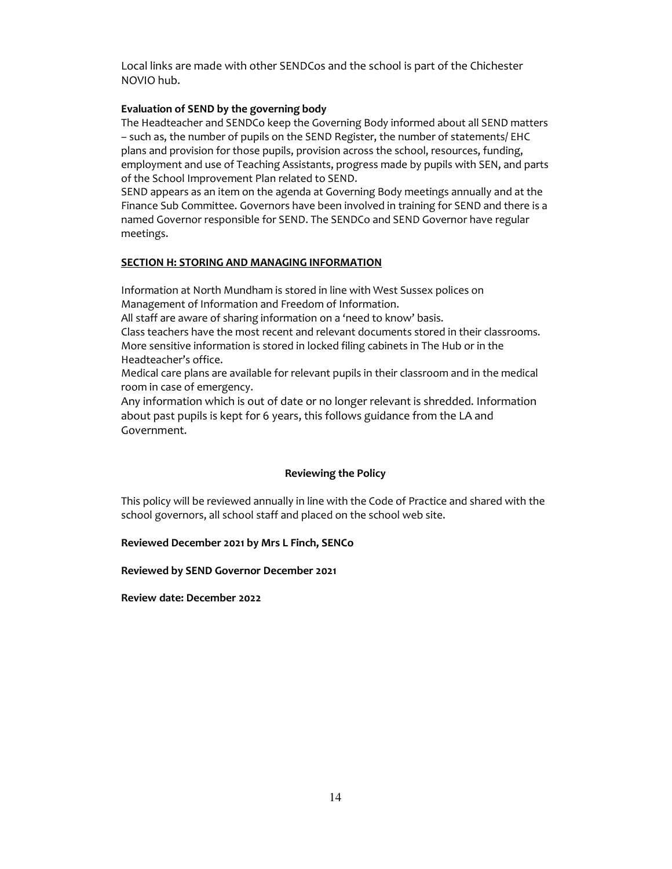Local links are made with other SENDCos and the school is part of the Chichester NOVIO hub.

#### **Evaluation of SEND by the governing body**

The Headteacher and SENDCo keep the Governing Body informed about all SEND matters – such as, the number of pupils on the SEND Register, the number of statements/ EHC plans and provision for those pupils, provision across the school, resources, funding, employment and use of Teaching Assistants, progress made by pupils with SEN, and parts of the School Improvement Plan related to SEND.

SEND appears as an item on the agenda at Governing Body meetings annually and at the Finance Sub Committee. Governors have been involved in training for SEND and there is a named Governor responsible for SEND. The SENDCo and SEND Governor have regular meetings.

#### **SECTION H: STORING AND MANAGING INFORMATION**

Information at North Mundham is stored in line with West Sussex polices on Management of Information and Freedom of Information.

All staff are aware of sharing information on a 'need to know' basis.

Class teachers have the most recent and relevant documents stored in their classrooms. More sensitive information is stored in locked filing cabinets in The Hub or in the Headteacher's office.

Medical care plans are available for relevant pupils in their classroom and in the medical room in case of emergency.

Any information which is out of date or no longer relevant is shredded. Information about past pupils is kept for 6 years, this follows guidance from the LA and Government.

# **Reviewing the Policy**

This policy will be reviewed annually in line with the Code of Practice and shared with the school governors, all school staff and placed on the school web site.

**Reviewed December 2021 by Mrs L Finch, SENCo** 

**Reviewed by SEND Governor December 2021** 

**Review date: December 2022**